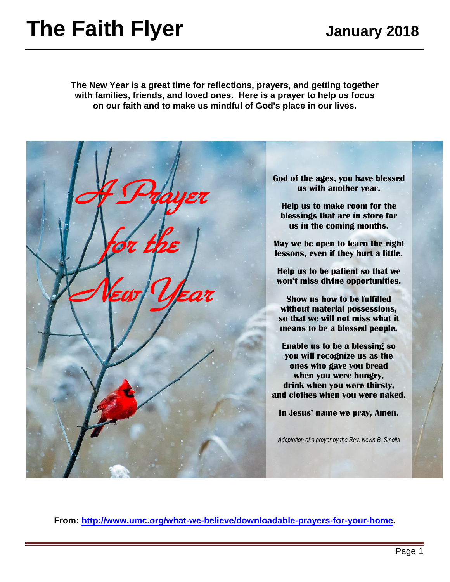# **The Faith Flyer** January 2018

**The New Year is a great time for reflections, prayers, and getting together with families, friends, and loved ones. Here is a prayer to help us focus on our faith and to make us mindful of God's place in our lives.**



**From: [http://www.umc.org/what-we-believe/downloadable-prayers-for-your-home.](http://www.umc.org/what-we-believe/downloadable-prayers-for-your-home)**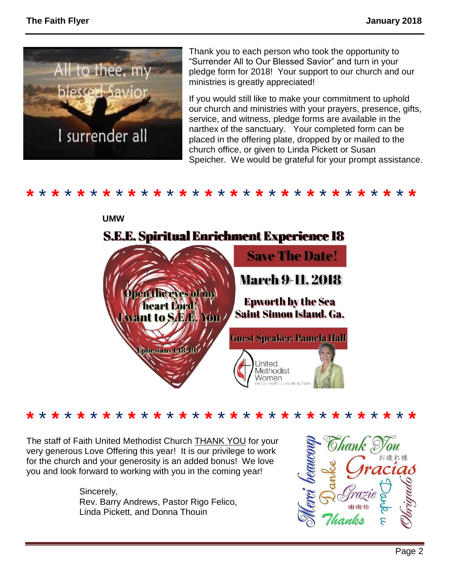

Thank you to each person who took the opportunity to "Surrender All to Our Blessed Savior" and turn in your pledge form for 2018! Your support to our church and our ministries is greatly appreciated!

If you would still like to make your commitment to uphold our church and ministries with your prayers, presence, gifts, service, and witness, pledge forms are available in the narthex of the sanctuary. Your completed form can be placed in the offering plate, dropped by or mailed to the church office, or given to Linda Pickett or Susan Speicher. We would be grateful for your prompt assistance.

**\*** \* **\*** \* **\*** \* **\*** \* **\*** \* **\*** \* **\*** \* **\*** \* **\*** \* **\*** \* **\*** \* **\*** \* **\*** \* **\*** \* **\*** \* **\***



**\*** \* **\*** \* **\*** \* **\*** \* **\*** \* **\*** \* **\*** \* **\*** \* **\*** \* **\*** \* **\*** \* **\*** \* **\*** \* **\*** \* **\*** \* **\***

The staff of Faith United Methodist Church THANK YOU for your very generous Love Offering this year! It is our privilege to work for the church and your generosity is an added bonus! We love you and look forward to working with you in the coming year!

> Sincerely, Rev. Barry Andrews, Pastor Rigo Felico, Linda Pickett, and Donna Thouin

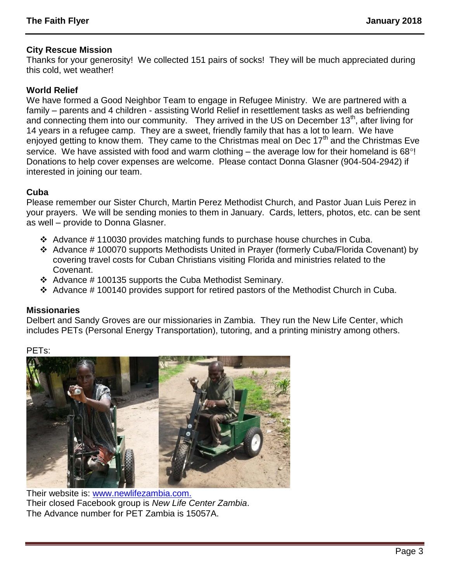## **City Rescue Mission**

Thanks for your generosity! We collected 151 pairs of socks! They will be much appreciated during this cold, wet weather!

## **World Relief**

We have formed a Good Neighbor Team to engage in Refugee Ministry. We are partnered with a family – parents and 4 children - assisting World Relief in resettlement tasks as well as befriending and connecting them into our community. They arrived in the US on December 13<sup>th</sup>, after living for 14 years in a refugee camp. They are a sweet, friendly family that has a lot to learn. We have enjoyed getting to know them. They came to the Christmas meal on Dec 17<sup>th</sup> and the Christmas Eve service. We have assisted with food and warm clothing – the average low for their homeland is  $68^\circ$ ! Donations to help cover expenses are welcome. Please contact Donna Glasner (904-504-2942) if interested in joining our team.

# **Cuba**

Please remember our Sister Church, Martin Perez Methodist Church, and Pastor Juan Luis Perez in your prayers. We will be sending monies to them in January. Cards, letters, photos, etc. can be sent as well – provide to Donna Glasner.

- $\div$  Advance #110030 provides matching funds to purchase house churches in Cuba.
- Advance # 100070 supports Methodists United in Prayer (formerly Cuba/Florida Covenant) by covering travel costs for Cuban Christians visiting Florida and ministries related to the Covenant.
- $\div$  Advance # 100135 supports the Cuba Methodist Seminary.
- $\div$  Advance #100140 provides support for retired pastors of the Methodist Church in Cuba.

## **Missionaries**

Delbert and Sandy Groves are our missionaries in Zambia. They run the New Life Center, which includes PETs (Personal Energy Transportation), tutoring, and a printing ministry among others.

PETs:



Their website is: [www.newlifezambia.com.](http://www.newlifezambia.com./) Their closed Facebook group is *New Life Center Zambia*. The Advance number for PET Zambia is 15057A.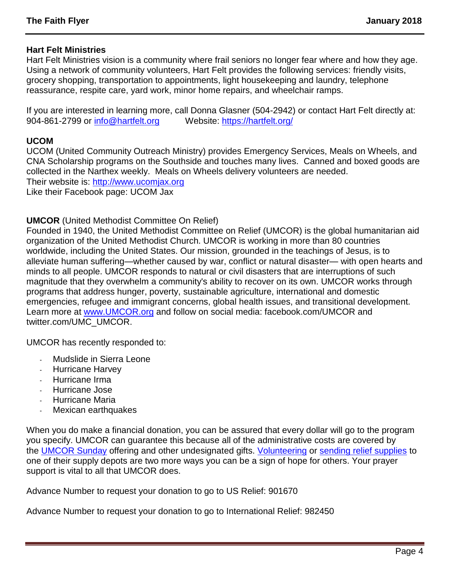#### **Hart Felt Ministries**

Hart Felt Ministries vision is a community where frail seniors no longer fear where and how they age. Using a network of community volunteers, Hart Felt provides the following services: friendly visits, grocery shopping, transportation to appointments, light housekeeping and laundry, telephone reassurance, respite care, yard work, minor home repairs, and wheelchair ramps.

If you are interested in learning more, call Donna Glasner (504-2942) or contact Hart Felt directly at: 904-861-2799 or [info@hartfelt.org](mailto:info@hartfelt.org) Website:<https://hartfelt.org/>

#### **UCOM**

UCOM (United Community Outreach Ministry) provides Emergency Services, Meals on Wheels, and CNA Scholarship programs on the Southside and touches many lives. Canned and boxed goods are collected in the Narthex weekly. Meals on Wheels delivery volunteers are needed. Their website is: [http://www.ucomjax.org](http://www.ucomjax.org/) Like their Facebook page: UCOM Jax

#### **UMCOR** (United Methodist Committee On Relief)

Founded in 1940, the United Methodist Committee on Relief (UMCOR) is the global humanitarian aid organization of the United Methodist Church. UMCOR is working in more than 80 countries worldwide, including the United States. Our mission, grounded in the teachings of Jesus, is to alleviate human suffering—whether caused by war, conflict or natural disaster— with open hearts and minds to all people. UMCOR responds to natural or civil disasters that are interruptions of such magnitude that they overwhelm a community's ability to recover on its own. UMCOR works through programs that address hunger, poverty, sustainable agriculture, international and domestic emergencies, refugee and immigrant concerns, global health issues, and transitional development. Learn more at [www.UMCOR.org](http://www.umcor.org/) and follow on social media: facebook.com/UMCOR and twitter.com/UMC\_UMCOR.

UMCOR has recently responded to:

- Mudslide in Sierra Leone
- Hurricane Harvey
- Hurricane Irma
- Hurricane Jose
- Hurricane Maria
- Mexican earthquakes

When you do make a financial donation, you can be assured that every dollar will go to the program you specify. UMCOR can guarantee this because all of the administrative costs are covered by the [UMCOR Sunday](http://www.umcor.org/UMCOR/Programs/One-Great-Hour-of-Sharing/oghs) offering and other undesignated gifts. [Volunteering](http://www.umcor.org/UMCOR/Support/Volunteer/Volunteer) or [sending relief supplies](http://www.umcor.org/UMCOR/Relief-Supplies/Relief-Supply-Kits) to one of their supply depots are two more ways you can be a sign of hope for others. Your prayer support is vital to all that UMCOR does.

Advance Number to request your donation to go to US Relief: 901670

Advance Number to request your donation to go to International Relief: 982450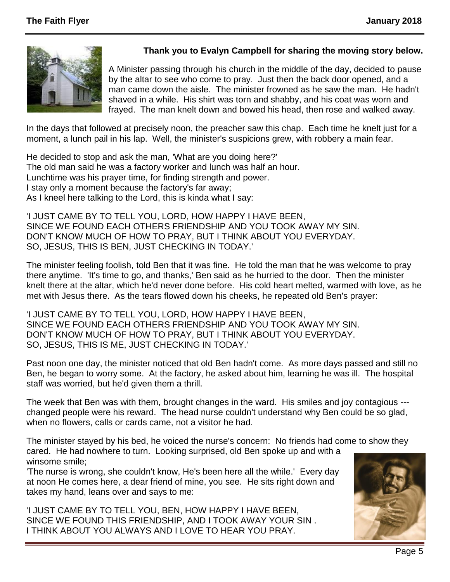

# **Thank you to Evalyn Campbell for sharing the moving story below.**

A Minister passing through his church in the middle of the day, decided to pause by the altar to see who come to pray. Just then the back door opened, and a man came down the aisle. The minister frowned as he saw the man. He hadn't shaved in a while. His shirt was torn and shabby, and his coat was worn and frayed. The man knelt down and bowed his head, then rose and walked away.

In the days that followed at precisely noon, the preacher saw this chap. Each time he knelt just for a moment, a lunch pail in his lap. Well, the minister's suspicions grew, with robbery a main fear.

He decided to stop and ask the man, 'What are you doing here?' The old man said he was a factory worker and lunch was half an hour. Lunchtime was his prayer time, for finding strength and power. I stay only a moment because the factory's far away; As I kneel here talking to the Lord, this is kinda what I say:

'I JUST CAME BY TO TELL YOU, LORD, HOW HAPPY I HAVE BEEN, SINCE WE FOUND EACH OTHERS FRIENDSHIP AND YOU TOOK AWAY MY SIN. DON'T KNOW MUCH OF HOW TO PRAY, BUT I THINK ABOUT YOU EVERYDAY. SO, JESUS, THIS IS BEN, JUST CHECKING IN TODAY.'

The minister feeling foolish, told Ben that it was fine. He told the man that he was welcome to pray there anytime. 'It's time to go, and thanks,' Ben said as he hurried to the door. Then the minister knelt there at the altar, which he'd never done before. His cold heart melted, warmed with love, as he met with Jesus there. As the tears flowed down his cheeks, he repeated old Ben's prayer:

'I JUST CAME BY TO TELL YOU, LORD, HOW HAPPY I HAVE BEEN, SINCE WE FOUND EACH OTHERS FRIENDSHIP AND YOU TOOK AWAY MY SIN. DON'T KNOW MUCH OF HOW TO PRAY, BUT I THINK ABOUT YOU EVERYDAY. SO, JESUS, THIS IS ME, JUST CHECKING IN TODAY.'

Past noon one day, the minister noticed that old Ben hadn't come. As more days passed and still no Ben, he began to worry some. At the factory, he asked about him, learning he was ill. The hospital staff was worried, but he'd given them a thrill.

The week that Ben was with them, brought changes in the ward. His smiles and joy contagious -- changed people were his reward. The head nurse couldn't understand why Ben could be so glad, when no flowers, calls or cards came, not a visitor he had.

The minister stayed by his bed, he voiced the nurse's concern: No friends had come to show they cared. He had nowhere to turn. Looking surprised, old Ben spoke up and with a winsome smile;

'The nurse is wrong, she couldn't know, He's been here all the while.' Every day at noon He comes here, a dear friend of mine, you see. He sits right down and takes my hand, leans over and says to me:

'I JUST CAME BY TO TELL YOU, BEN, HOW HAPPY I HAVE BEEN, SINCE WE FOUND THIS FRIENDSHIP, AND I TOOK AWAY YOUR SIN . I THINK ABOUT YOU ALWAYS AND I LOVE TO HEAR YOU PRAY.